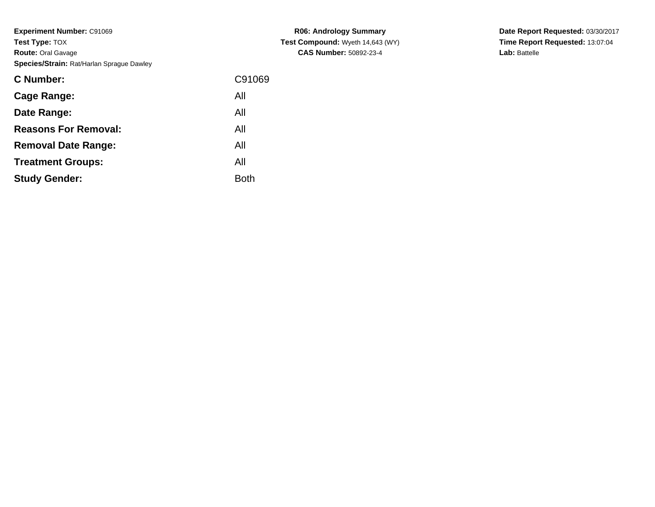**Experiment Number:** C91069**Test Type:** TOX **Route:** Oral Gavage**Species/Strain:** Rat/Harlan Sprague Dawley

| <b>C</b> Number:            | C91069      |
|-----------------------------|-------------|
| Cage Range:                 | All         |
| Date Range:                 | All         |
| <b>Reasons For Removal:</b> | All         |
| <b>Removal Date Range:</b>  | All         |
| <b>Treatment Groups:</b>    | All         |
| <b>Study Gender:</b>        | <b>Both</b> |
|                             |             |

**R06: Andrology Summary Test Compound:** Wyeth 14,643 (WY)**CAS Number:** 50892-23-4

**Date Report Requested:** 03/30/2017**Time Report Requested:** 13:07:04**Lab:** Battelle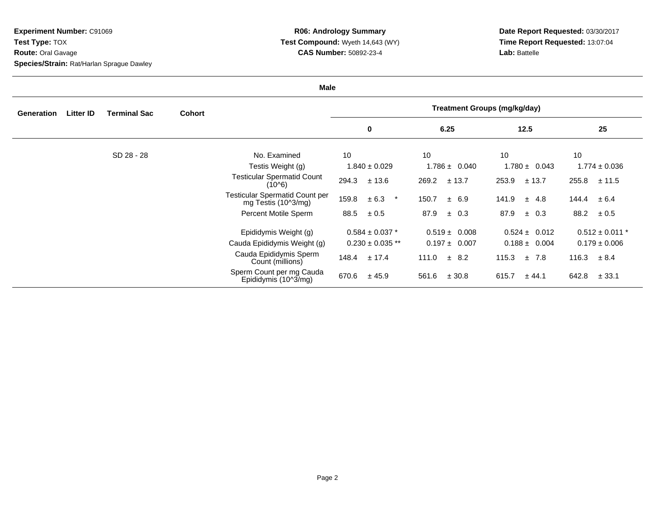**Experiment Number:** C91069**Test Type:** TOX **Route:** Oral Gavage**Species/Strain:** Rat/Harlan Sprague Dawley

**R06: Andrology Summary Test Compound:** Wyeth 14,643 (WY)**CAS Number:** 50892-23-4

**Date Report Requested:** 03/30/2017**Time Report Requested:** 13:07:04**Lab:** Battelle

| Male       |           |                     |               |                                                       |                                     |                   |                    |                     |  |
|------------|-----------|---------------------|---------------|-------------------------------------------------------|-------------------------------------|-------------------|--------------------|---------------------|--|
| Generation | Litter ID | <b>Terminal Sac</b> | <b>Cohort</b> |                                                       | <b>Treatment Groups (mg/kg/day)</b> |                   |                    |                     |  |
|            |           |                     |               |                                                       | 0                                   | 6.25              | 12.5               | 25                  |  |
|            |           | SD 28 - 28          |               | No. Examined                                          | 10                                  | 10                | 10                 | 10                  |  |
|            |           |                     |               | Testis Weight (g)                                     | $1.840 \pm 0.029$                   | $1.786 \pm 0.040$ | $1.780 \pm 0.043$  | $1.774 \pm 0.036$   |  |
|            |           |                     |               | <b>Testicular Spermatid Count</b><br>(10^6)           | 294.3<br>± 13.6                     | 269.2<br>± 13.7   | 253.9<br>± 13.7    | 255.8<br>± 11.5     |  |
|            |           |                     |               | Testicular Spermatid Count per<br>mg Testis (10^3/mg) | 159.8<br>± 6.3<br>$\star$           | 150.7<br>± 6.9    | 141.9<br>$\pm$ 4.8 | $144.4 \pm 6.4$     |  |
|            |           |                     |               | Percent Motile Sperm                                  | ± 0.5<br>88.5                       | 87.9<br>$\pm$ 0.3 | 87.9<br>$\pm$ 0.3  | 88.2<br>$\pm 0.5$   |  |
|            |           |                     |               | Epididymis Weight (g)                                 | $0.584\pm0.037$ $^{\star}$          | $0.519 \pm 0.008$ | $0.524 \pm 0.012$  | $0.512 \pm 0.011$ * |  |
|            |           |                     |               | Cauda Epididymis Weight (g)                           | $0.230 \pm 0.035$ **                | $0.197 \pm 0.007$ | $0.188 \pm 0.004$  | $0.179 \pm 0.006$   |  |
|            |           |                     |               | Cauda Epididymis Sperm<br>Count (millions)            | ± 17.4<br>148.4                     | 111.0<br>± 8.2    | 115.3<br>±7.8      | 116.3<br>± 8.4      |  |
|            |           |                     |               | Sperm Count per mg Cauda<br>Epididymis (10^3/mg)      | 670.6<br>± 45.9                     | 561.6<br>± 30.8   | 615.7<br>± 44.1    | 642.8<br>± 33.1     |  |